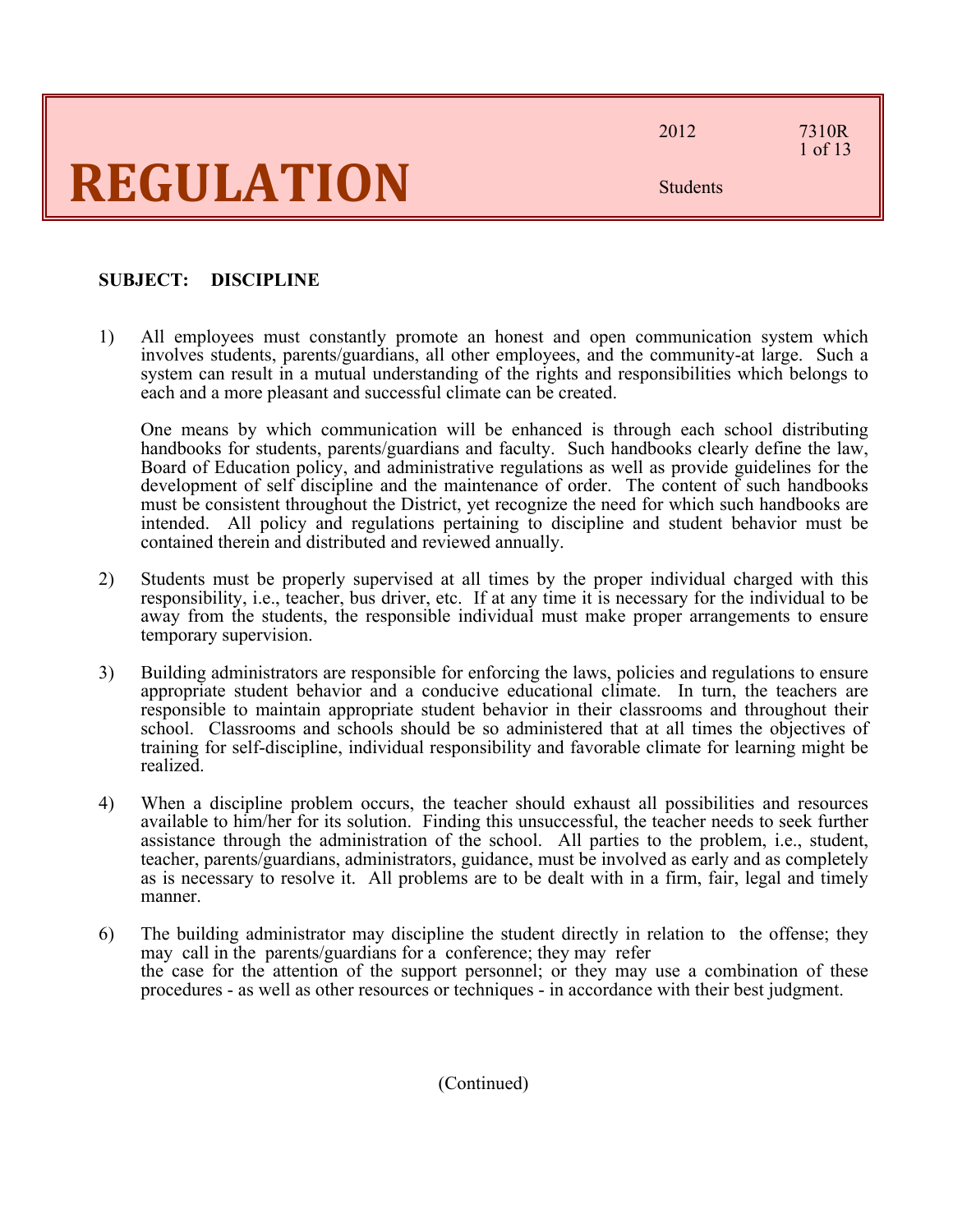2012 7310R

1 of 13

Students

### **SUBJECT: DISCIPLINE**

1) All employees must constantly promote an honest and open communication system which involves students, parents/guardians, all other employees, and the community-at large. Such a system can result in a mutual understanding of the rights and responsibilities which belongs to each and a more pleasant and successful climate can be created.

One means by which communication will be enhanced is through each school distributing handbooks for students, parents/guardians and faculty. Such handbooks clearly define the law, Board of Education policy, and administrative regulations as well as provide guidelines for the development of self discipline and the maintenance of order. The content of such handbooks must be consistent throughout the District, yet recognize the need for which such handbooks are intended. All policy and regulations pertaining to discipline and student behavior must be contained therein and distributed and reviewed annually.

- 2) Students must be properly supervised at all times by the proper individual charged with this responsibility, i.e., teacher, bus driver, etc. If at any time it is necessary for the individual to be away from the students, the responsible individual must make proper arrangements to ensure temporary supervision.
- 3) Building administrators are responsible for enforcing the laws, policies and regulations to ensure appropriate student behavior and a conducive educational climate. In turn, the teachers are responsible to maintain appropriate student behavior in their classrooms and throughout their school. Classrooms and schools should be so administered that at all times the objectives of training for self-discipline, individual responsibility and favorable climate for learning might be realized.
- 4) When a discipline problem occurs, the teacher should exhaust all possibilities and resources available to him/her for its solution. Finding this unsuccessful, the teacher needs to seek further assistance through the administration of the school. All parties to the problem, i.e., student, teacher, parents/guardians, administrators, guidance, must be involved as early and as completely as is necessary to resolve it. All problems are to be dealt with in a firm, fair, legal and timely manner.
- 6) The building administrator may discipline the student directly in relation to the offense; they may call in the parents/guardians for a conference; they may refer the case for the attention of the support personnel; or they may use a combination of these procedures - as well as other resources or techniques - in accordance with their best judgment.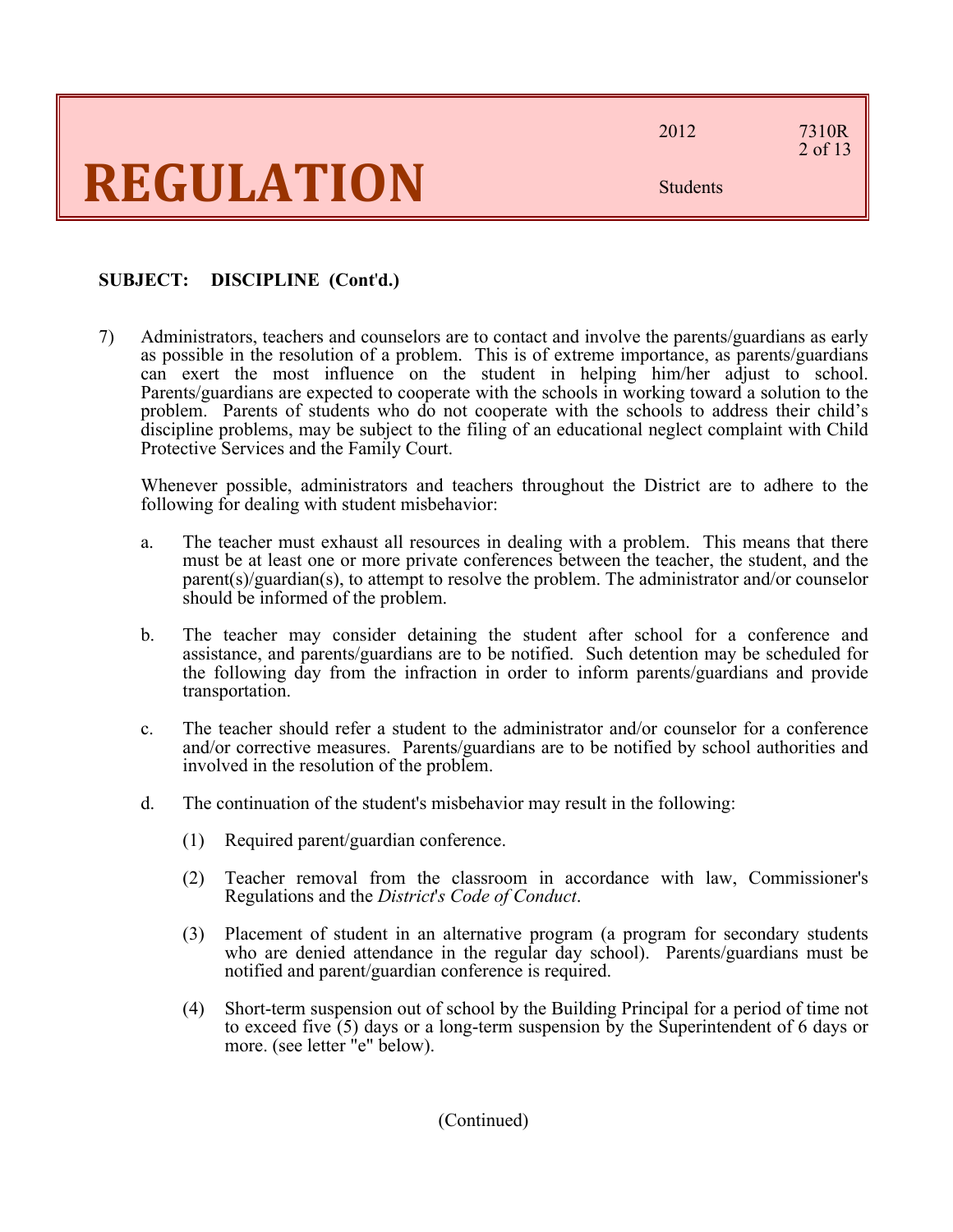2012 7310R

### 2 of 13

Students

### **SUBJECT: DISCIPLINE (Cont**'**d.)**

7) Administrators, teachers and counselors are to contact and involve the parents/guardians as early as possible in the resolution of a problem. This is of extreme importance, as parents/guardians can exert the most influence on the student in helping him/her adjust to school. Parents/guardians are expected to cooperate with the schools in working toward a solution to the problem. Parents of students who do not cooperate with the schools to address their child's discipline problems, may be subject to the filing of an educational neglect complaint with Child Protective Services and the Family Court.

Whenever possible, administrators and teachers throughout the District are to adhere to the following for dealing with student misbehavior:

- a. The teacher must exhaust all resources in dealing with a problem. This means that there must be at least one or more private conferences between the teacher, the student, and the parent(s)/guardian(s), to attempt to resolve the problem. The administrator and/or counselor should be informed of the problem.
- b. The teacher may consider detaining the student after school for a conference and assistance, and parents/guardians are to be notified. Such detention may be scheduled for the following day from the infraction in order to inform parents/guardians and provide transportation.
- c. The teacher should refer a student to the administrator and/or counselor for a conference and/or corrective measures. Parents/guardians are to be notified by school authorities and involved in the resolution of the problem.
- d. The continuation of the student's misbehavior may result in the following:
	- (1) Required parent/guardian conference.
	- (2) Teacher removal from the classroom in accordance with law, Commissioner's Regulations and the *District*'*s Code of Conduct*.
	- (3) Placement of student in an alternative program (a program for secondary students who are denied attendance in the regular day school). Parents/guardians must be notified and parent/guardian conference is required.
	- (4) Short-term suspension out of school by the Building Principal for a period of time not to exceed five (5) days or a long-term suspension by the Superintendent of 6 days or more. (see letter "e" below).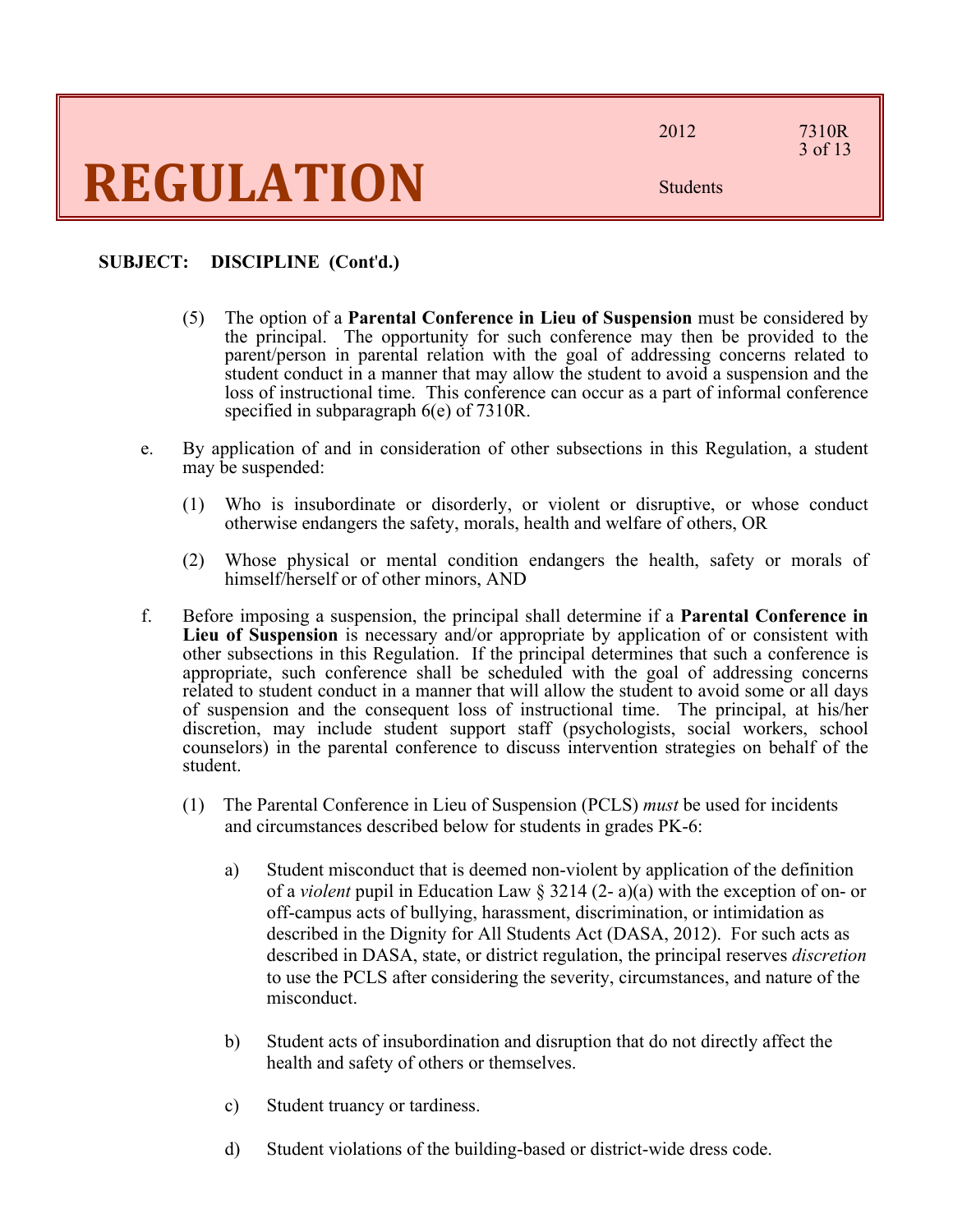2012 7310R

Students

### 3 of 13

### **SUBJECT: DISCIPLINE (Cont**'**d.)**

- (5) The option of a **Parental Conference in Lieu of Suspension** must be considered by the principal. The opportunity for such conference may then be provided to the parent/person in parental relation with the goal of addressing concerns related to student conduct in a manner that may allow the student to avoid a suspension and the loss of instructional time. This conference can occur as a part of informal conference specified in subparagraph 6(e) of 7310R.
- e. By application of and in consideration of other subsections in this Regulation, a student may be suspended:
	- (1) Who is insubordinate or disorderly, or violent or disruptive, or whose conduct otherwise endangers the safety, morals, health and welfare of others, OR
	- (2) Whose physical or mental condition endangers the health, safety or morals of himself/herself or of other minors, AND
- f. Before imposing a suspension, the principal shall determine if a **Parental Conference in Lieu of Suspension** is necessary and/or appropriate by application of or consistent with other subsections in this Regulation. If the principal determines that such a conference is appropriate, such conference shall be scheduled with the goal of addressing concerns related to student conduct in a manner that will allow the student to avoid some or all days of suspension and the consequent loss of instructional time. The principal, at his/her discretion, may include student support staff (psychologists, social workers, school counselors) in the parental conference to discuss intervention strategies on behalf of the student.
	- (1) The Parental Conference in Lieu of Suspension (PCLS) *must* be used for incidents and circumstances described below for students in grades PK-6:
		- a) Student misconduct that is deemed non-violent by application of the definition of a *violent* pupil in Education Law § 3214 (2- a)(a) with the exception of on- or off-campus acts of bullying, harassment, discrimination, or intimidation as described in the Dignity for All Students Act (DASA, 2012). For such acts as described in DASA, state, or district regulation, the principal reserves *discretion* to use the PCLS after considering the severity, circumstances, and nature of the misconduct.
		- b) Student acts of insubordination and disruption that do not directly affect the health and safety of others or themselves.
		- c) Student truancy or tardiness.
		- d) Student violations of the building-based or district-wide dress code.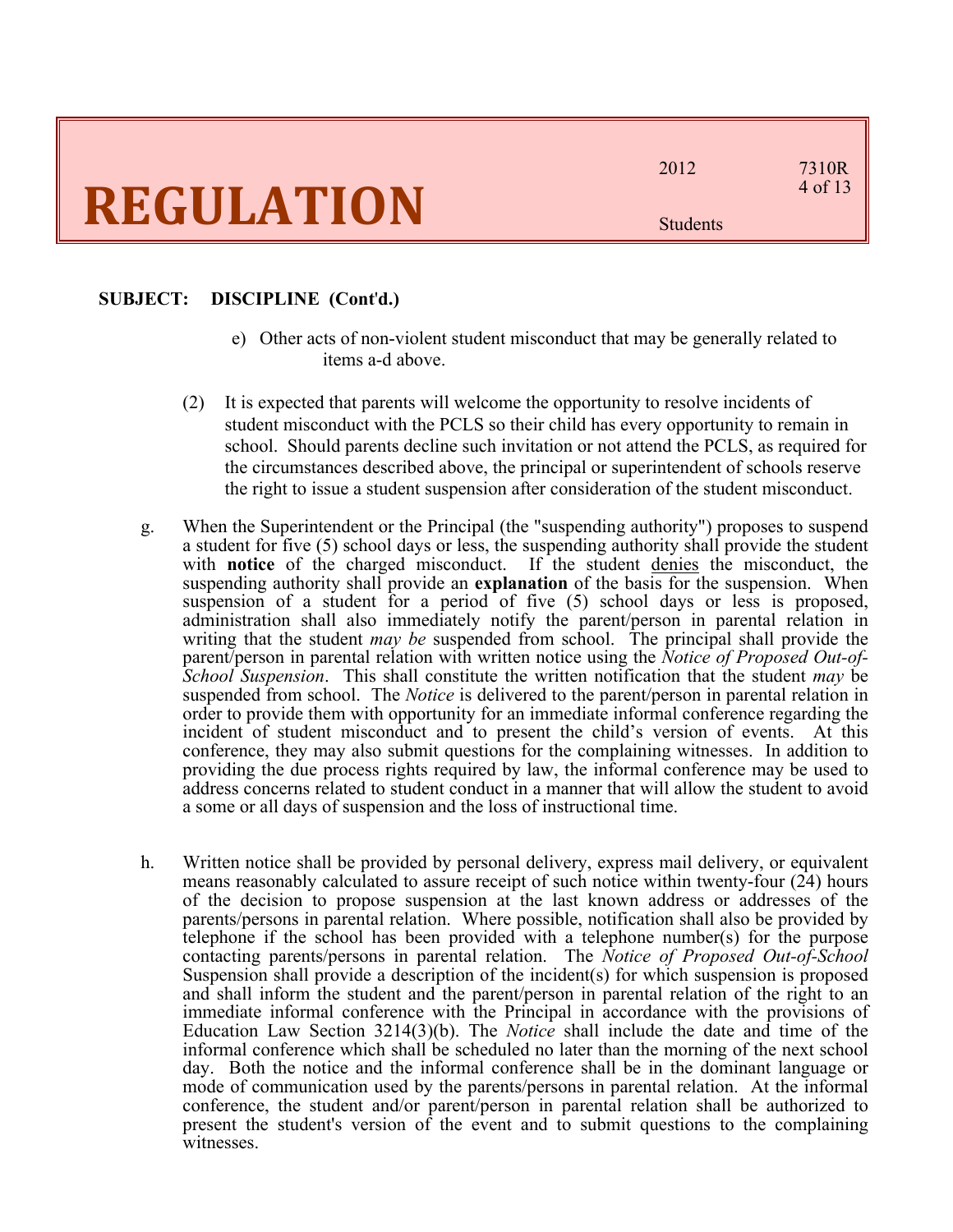#### **SUBJECT: DISCIPLINE (Cont**'**d.)**

- e) Other acts of non-violent student misconduct that may be generally related to items a-d above.
- (2) It is expected that parents will welcome the opportunity to resolve incidents of student misconduct with the PCLS so their child has every opportunity to remain in school. Should parents decline such invitation or not attend the PCLS, as required for the circumstances described above, the principal or superintendent of schools reserve the right to issue a student suspension after consideration of the student misconduct.
- g. When the Superintendent or the Principal (the "suspending authority") proposes to suspend a student for five (5) school days or less, the suspending authority shall provide the student with **notice** of the charged misconduct. If the student denies the misconduct, the suspending authority shall provide an **explanation** of the basis for the suspension. When suspension of a student for a period of five (5) school days or less is proposed, administration shall also immediately notify the parent/person in parental relation in writing that the student *may be* suspended from school. The principal shall provide the parent/person in parental relation with written notice using the *Notice of Proposed Out-of-School Suspension*. This shall constitute the written notification that the student *may* be suspended from school. The *Notice* is delivered to the parent/person in parental relation in order to provide them with opportunity for an immediate informal conference regarding the incident of student misconduct and to present the child's version of events. At this conference, they may also submit questions for the complaining witnesses. In addition to providing the due process rights required by law, the informal conference may be used to address concerns related to student conduct in a manner that will allow the student to avoid a some or all days of suspension and the loss of instructional time.
- h. Written notice shall be provided by personal delivery, express mail delivery, or equivalent means reasonably calculated to assure receipt of such notice within twenty-four (24) hours of the decision to propose suspension at the last known address or addresses of the parents/persons in parental relation. Where possible, notification shall also be provided by telephone if the school has been provided with a telephone number(s) for the purpose contacting parents/persons in parental relation. The *Notice of Proposed Out-of-School*  Suspension shall provide a description of the incident(s) for which suspension is proposed and shall inform the student and the parent/person in parental relation of the right to an immediate informal conference with the Principal in accordance with the provisions of Education Law Section 3214(3)(b). The *Notice* shall include the date and time of the informal conference which shall be scheduled no later than the morning of the next school day. Both the notice and the informal conference shall be in the dominant language or mode of communication used by the parents/persons in parental relation. At the informal conference, the student and/or parent/person in parental relation shall be authorized to present the student's version of the event and to submit questions to the complaining witnesses.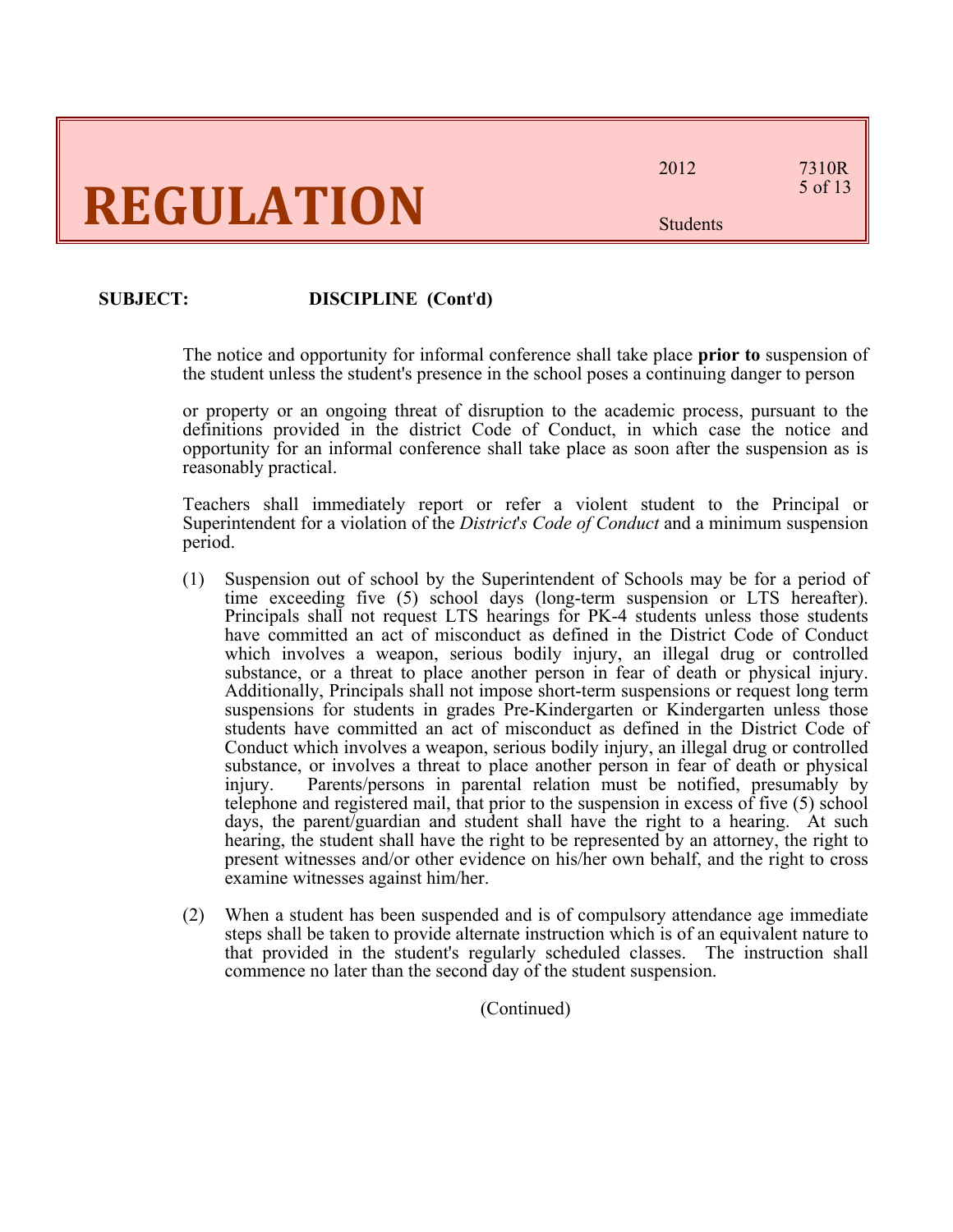### **SUBJECT: DISCIPLINE (Cont**'**d)**

The notice and opportunity for informal conference shall take place **prior to** suspension of the student unless the student's presence in the school poses a continuing danger to person

or property or an ongoing threat of disruption to the academic process, pursuant to the definitions provided in the district Code of Conduct, in which case the notice and opportunity for an informal conference shall take place as soon after the suspension as is reasonably practical.

Teachers shall immediately report or refer a violent student to the Principal or Superintendent for a violation of the *District*'*s Code of Conduct* and a minimum suspension period.

- (1) Suspension out of school by the Superintendent of Schools may be for a period of time exceeding five (5) school days (long-term suspension or LTS hereafter). Principals shall not request LTS hearings for PK-4 students unless those students have committed an act of misconduct as defined in the District Code of Conduct which involves a weapon, serious bodily injury, an illegal drug or controlled substance, or a threat to place another person in fear of death or physical injury. Additionally, Principals shall not impose short-term suspensions or request long term suspensions for students in grades Pre-Kindergarten or Kindergarten unless those students have committed an act of misconduct as defined in the District Code of Conduct which involves a weapon, serious bodily injury, an illegal drug or controlled substance, or involves a threat to place another person in fear of death or physical injury. Parents/persons in parental relation must be notified, presumably by telephone and registered mail, that prior to the suspension in excess of five (5) school days, the parent/guardian and student shall have the right to a hearing. At such hearing, the student shall have the right to be represented by an attorney, the right to present witnesses and/or other evidence on his/her own behalf, and the right to cross examine witnesses against him/her.
- (2) When a student has been suspended and is of compulsory attendance age immediate steps shall be taken to provide alternate instruction which is of an equivalent nature to that provided in the student's regularly scheduled classes. The instruction shall commence no later than the second day of the student suspension.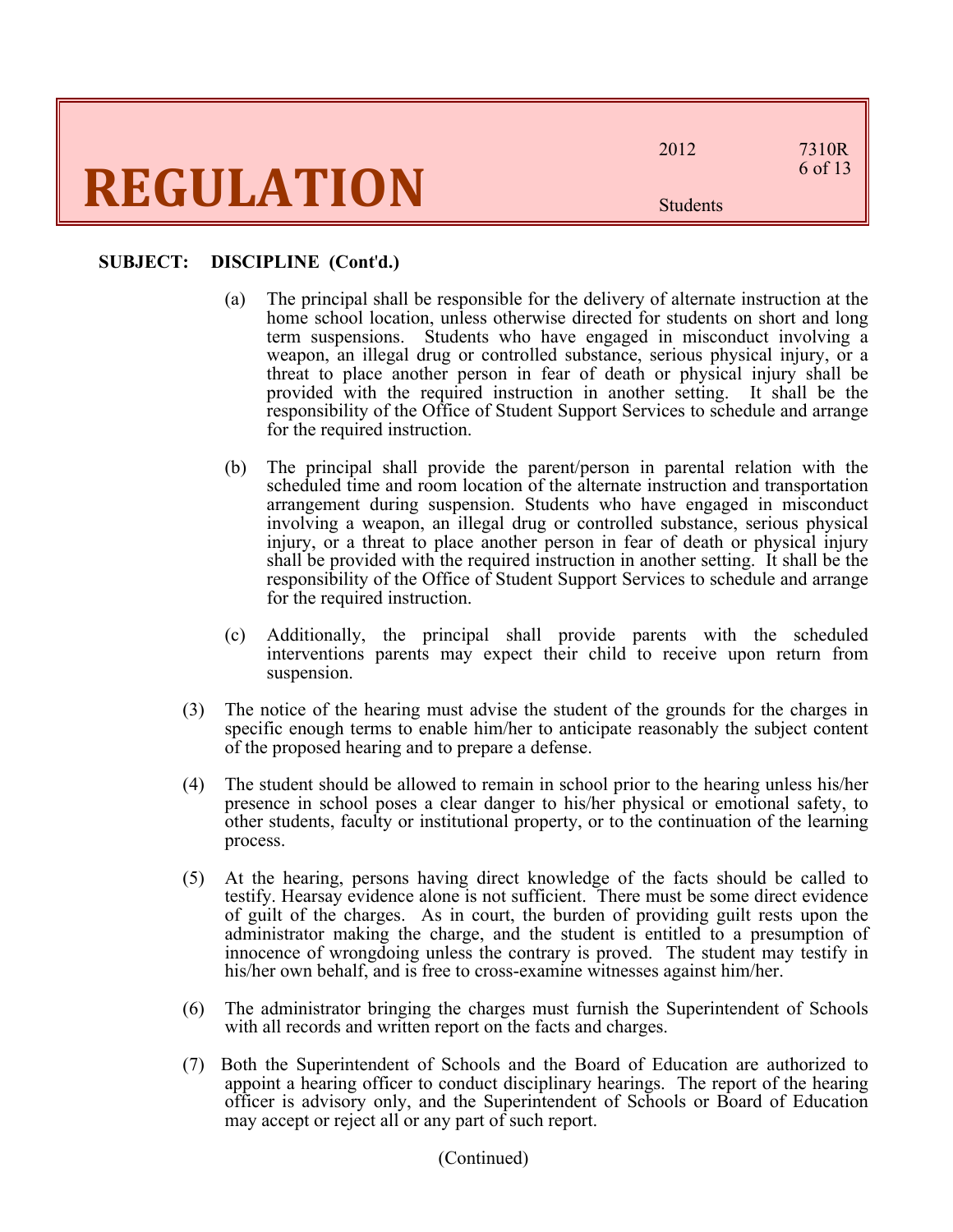2012 7310R 6 of 13

Students

#### **SUBJECT: DISCIPLINE (Cont**'**d.)**

- (a) The principal shall be responsible for the delivery of alternate instruction at the home school location, unless otherwise directed for students on short and long term suspensions. Students who have engaged in misconduct involving a weapon, an illegal drug or controlled substance, serious physical injury, or a threat to place another person in fear of death or physical injury shall be provided with the required instruction in another setting. It shall be the responsibility of the Office of Student Support Services to schedule and arrange for the required instruction.
- (b) The principal shall provide the parent/person in parental relation with the scheduled time and room location of the alternate instruction and transportation arrangement during suspension. Students who have engaged in misconduct involving a weapon, an illegal drug or controlled substance, serious physical injury, or a threat to place another person in fear of death or physical injury shall be provided with the required instruction in another setting. It shall be the responsibility of the Office of Student Support Services to schedule and arrange for the required instruction.
- (c) Additionally, the principal shall provide parents with the scheduled interventions parents may expect their child to receive upon return from suspension.
- (3) The notice of the hearing must advise the student of the grounds for the charges in specific enough terms to enable him/her to anticipate reasonably the subject content of the proposed hearing and to prepare a defense.
- (4) The student should be allowed to remain in school prior to the hearing unless his/her presence in school poses a clear danger to his/her physical or emotional safety, to other students, faculty or institutional property, or to the continuation of the learning process.
- (5) At the hearing, persons having direct knowledge of the facts should be called to testify. Hearsay evidence alone is not sufficient. There must be some direct evidence of guilt of the charges. As in court, the burden of providing guilt rests upon the administrator making the charge, and the student is entitled to a presumption of innocence of wrongdoing unless the contrary is proved. The student may testify in his/her own behalf, and is free to cross-examine witnesses against him/her.
- (6) The administrator bringing the charges must furnish the Superintendent of Schools with all records and written report on the facts and charges.
- (7) Both the Superintendent of Schools and the Board of Education are authorized to appoint a hearing officer to conduct disciplinary hearings. The report of the hearing officer is advisory only, and the Superintendent of Schools or Board of Education may accept or reject all or any part of such report.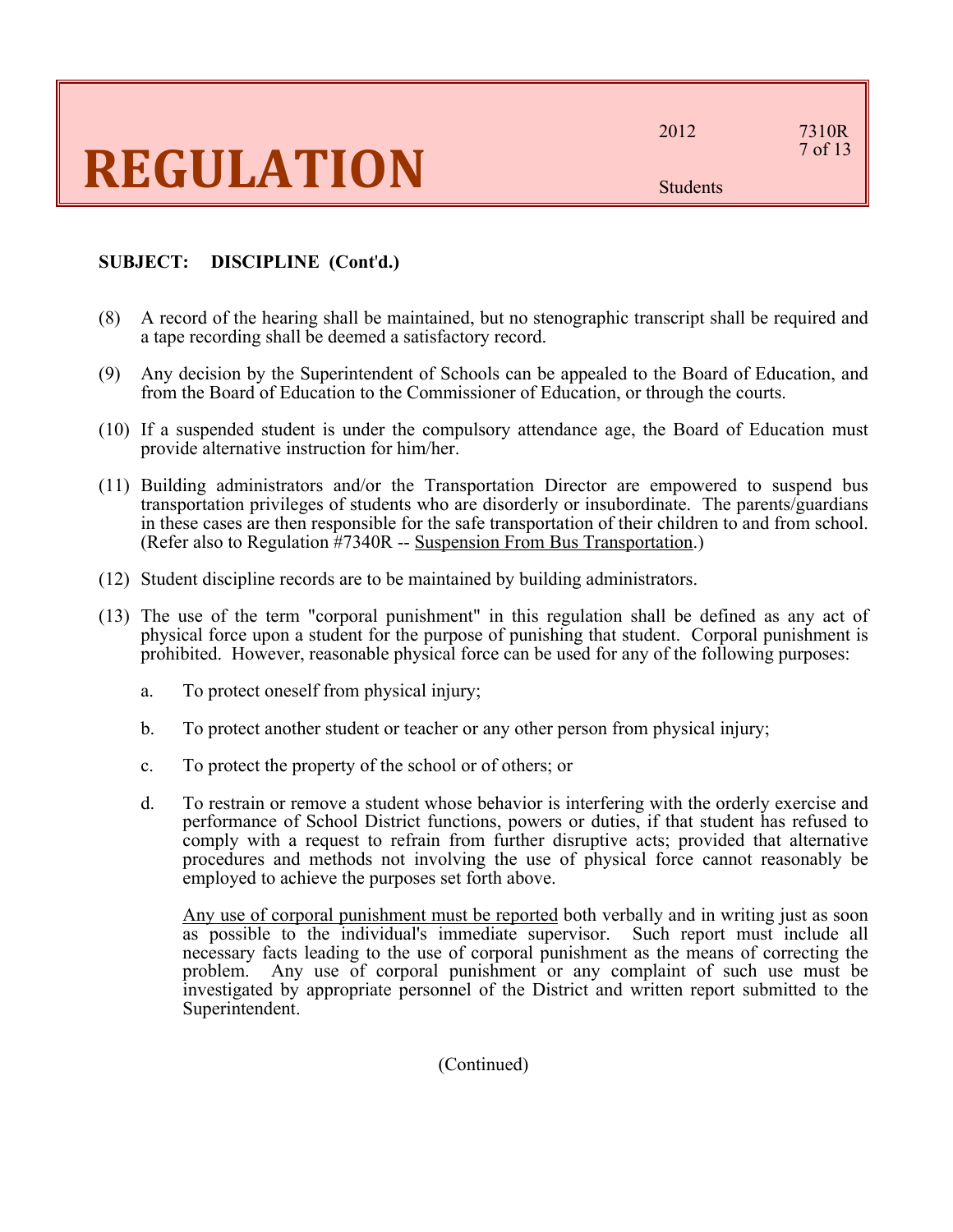### **SUBJECT: DISCIPLINE (Cont**'**d.)**

- (8) A record of the hearing shall be maintained, but no stenographic transcript shall be required and a tape recording shall be deemed a satisfactory record.
- (9) Any decision by the Superintendent of Schools can be appealed to the Board of Education, and from the Board of Education to the Commissioner of Education, or through the courts.
- (10) If a suspended student is under the compulsory attendance age, the Board of Education must provide alternative instruction for him/her.
- (11) Building administrators and/or the Transportation Director are empowered to suspend bus transportation privileges of students who are disorderly or insubordinate. The parents/guardians in these cases are then responsible for the safe transportation of their children to and from school. (Refer also to Regulation #7340R -- Suspension From Bus Transportation.)
- (12) Student discipline records are to be maintained by building administrators.
- (13) The use of the term "corporal punishment" in this regulation shall be defined as any act of physical force upon a student for the purpose of punishing that student. Corporal punishment is prohibited. However, reasonable physical force can be used for any of the following purposes:
	- a. To protect oneself from physical injury;
	- b. To protect another student or teacher or any other person from physical injury;
	- c. To protect the property of the school or of others; or
	- d. To restrain or remove a student whose behavior is interfering with the orderly exercise and performance of School District functions, powers or duties, if that student has refused to comply with a request to refrain from further disruptive acts; provided that alternative procedures and methods not involving the use of physical force cannot reasonably be employed to achieve the purposes set forth above.

Any use of corporal punishment must be reported both verbally and in writing just as soon as possible to the individual's immediate supervisor. Such report must include all necessary facts leading to the use of corporal punishment as the means of correcting the problem. Any use of corporal punishment or any complaint of such use must be investigated by appropriate personnel of the District and written report submitted to the Superintendent.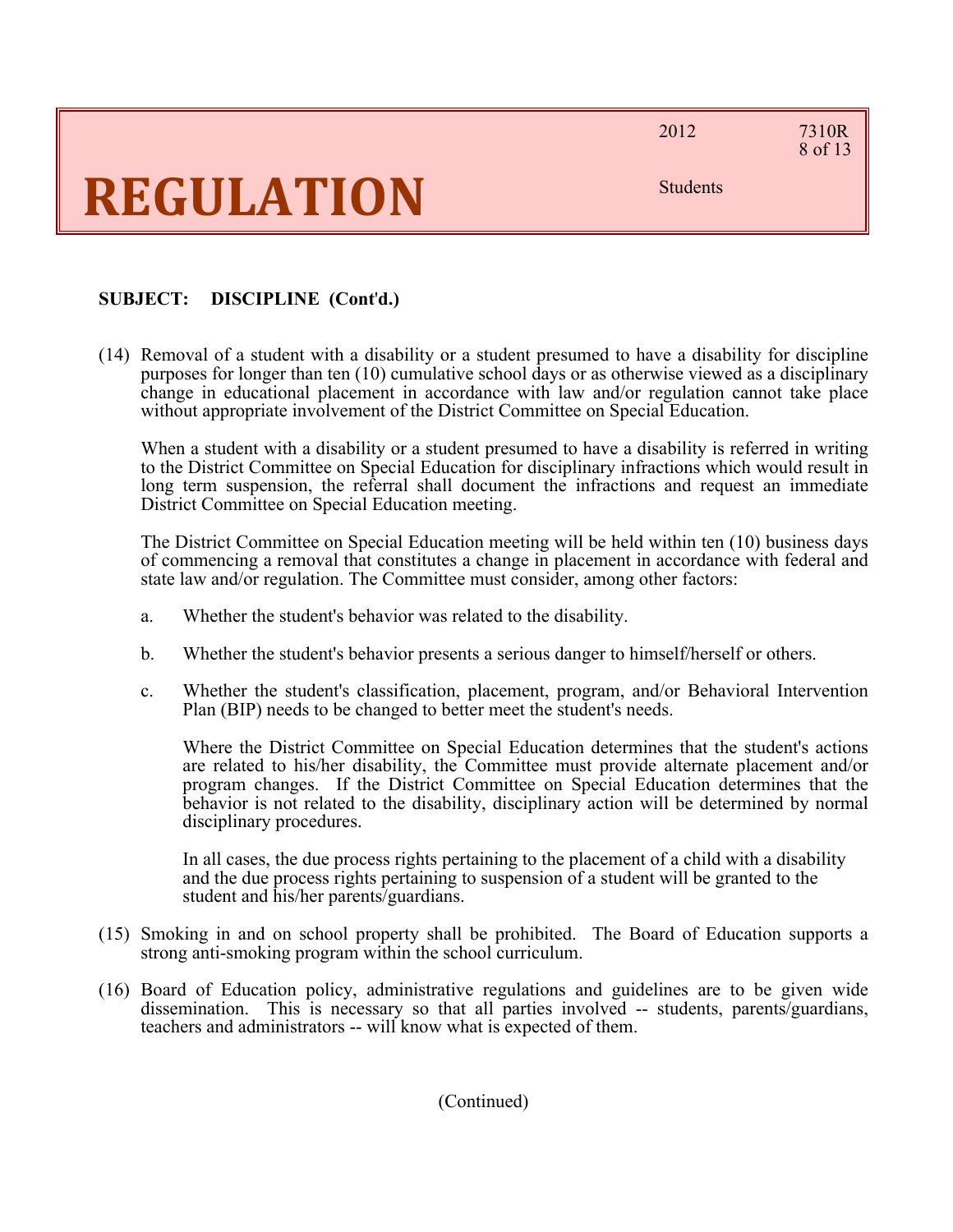2012 7310R

### 8 of 13

Students

### **SUBJECT: DISCIPLINE (Cont**'**d.)**

(14) Removal of a student with a disability or a student presumed to have a disability for discipline purposes for longer than ten (10) cumulative school days or as otherwise viewed as a disciplinary change in educational placement in accordance with law and/or regulation cannot take place without appropriate involvement of the District Committee on Special Education.

When a student with a disability or a student presumed to have a disability is referred in writing to the District Committee on Special Education for disciplinary infractions which would result in long term suspension, the referral shall document the infractions and request an immediate District Committee on Special Education meeting.

The District Committee on Special Education meeting will be held within ten (10) business days of commencing a removal that constitutes a change in placement in accordance with federal and state law and/or regulation. The Committee must consider, among other factors:

- a. Whether the student's behavior was related to the disability.
- b. Whether the student's behavior presents a serious danger to himself/herself or others.
- c. Whether the student's classification, placement, program, and/or Behavioral Intervention Plan (BIP) needs to be changed to better meet the student's needs.

Where the District Committee on Special Education determines that the student's actions are related to his/her disability, the Committee must provide alternate placement and/or program changes. If the District Committee on Special Education determines that the behavior is not related to the disability, disciplinary action will be determined by normal disciplinary procedures.

In all cases, the due process rights pertaining to the placement of a child with a disability and the due process rights pertaining to suspension of a student will be granted to the student and his/her parents/guardians.

- (15) Smoking in and on school property shall be prohibited. The Board of Education supports a strong anti-smoking program within the school curriculum.
- (16) Board of Education policy, administrative regulations and guidelines are to be given wide dissemination. This is necessary so that all parties involved -- students, parents/guardians, teachers and administrators -- will know what is expected of them.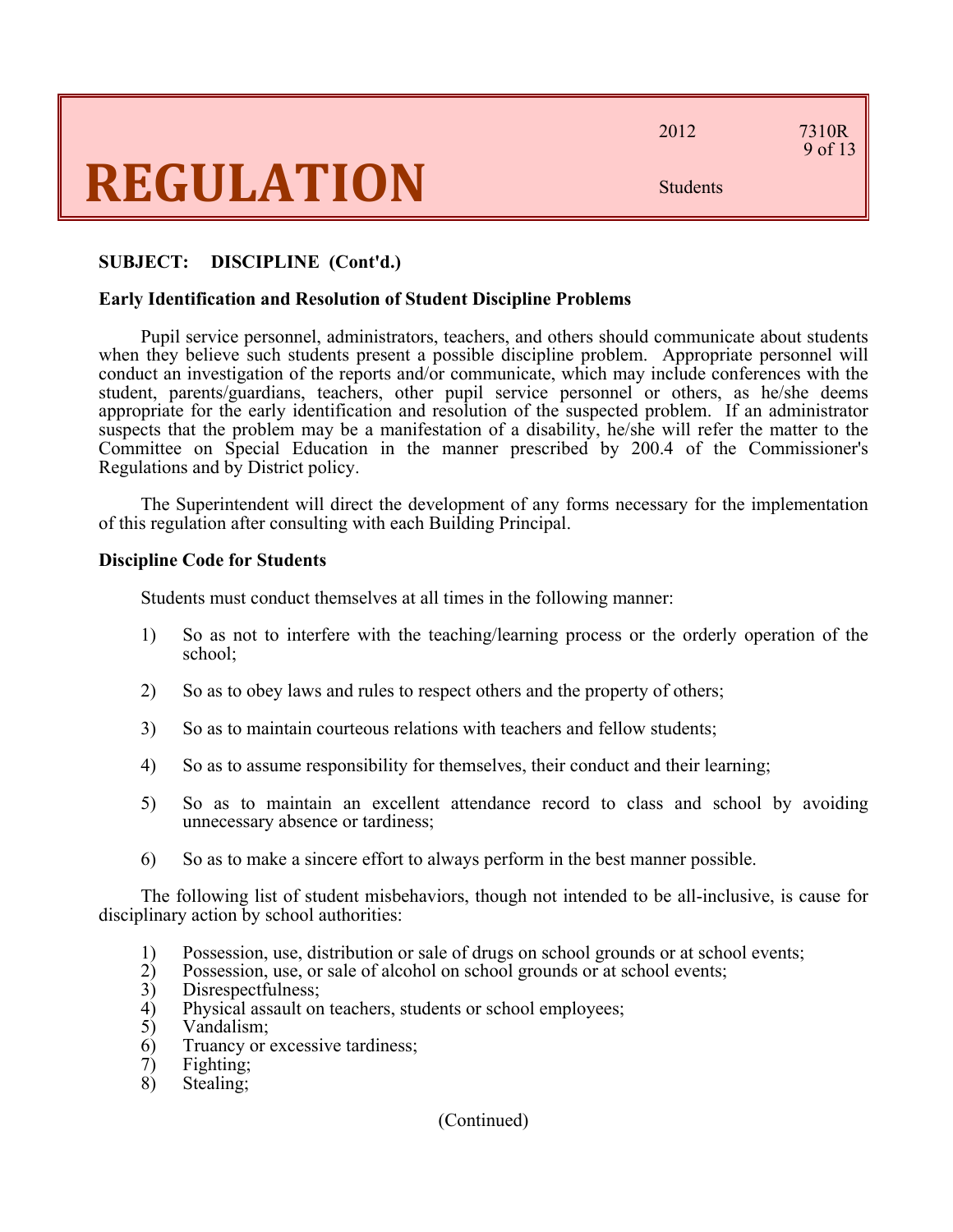2012 7310R

9 of 13

Students

#### **SUBJECT: DISCIPLINE (Cont'd.)**

#### **Early Identification and Resolution of Student Discipline Problems**

Pupil service personnel, administrators, teachers, and others should communicate about students when they believe such students present a possible discipline problem. Appropriate personnel will conduct an investigation of the reports and/or communicate, which may include conferences with the student, parents/guardians, teachers, other pupil service personnel or others, as he/she deems appropriate for the early identification and resolution of the suspected problem. If an administrator suspects that the problem may be a manifestation of a disability, he/she will refer the matter to the Committee on Special Education in the manner prescribed by 200.4 of the Commissioner's Regulations and by District policy.

The Superintendent will direct the development of any forms necessary for the implementation of this regulation after consulting with each Building Principal.

#### **Discipline Code for Students**

Students must conduct themselves at all times in the following manner:

- 1) So as not to interfere with the teaching/learning process or the orderly operation of the school;
- 2) So as to obey laws and rules to respect others and the property of others;
- 3) So as to maintain courteous relations with teachers and fellow students;
- 4) So as to assume responsibility for themselves, their conduct and their learning;
- 5) So as to maintain an excellent attendance record to class and school by avoiding unnecessary absence or tardiness;
- 6) So as to make a sincere effort to always perform in the best manner possible.

The following list of student misbehaviors, though not intended to be all-inclusive, is cause for disciplinary action by school authorities:

- 1) Possession, use, distribution or sale of drugs on school grounds or at school events;
- 2) Possession, use, or sale of alcohol on school grounds or at school events;
- 3) Disrespectfulness;
- 4) Physical assault on teachers, students or school employees;
- 5) Vandalism;
- 6) Truancy or excessive tardiness;
- 7) Fighting;
- 8) Stealing;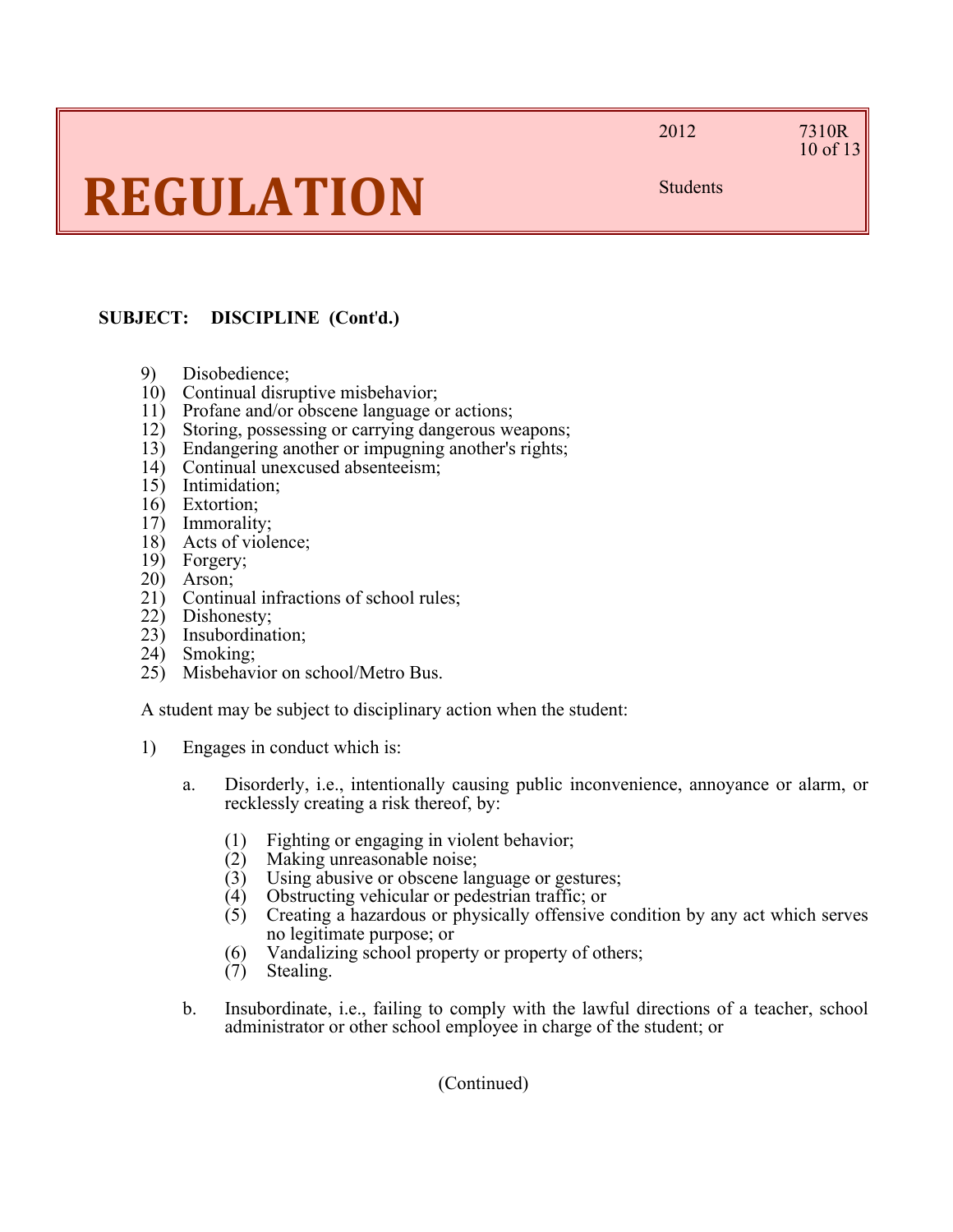#### 2012 7310R 10 of 13

Students

### **SUBJECT: DISCIPLINE (Cont**'**d.)**

- 9) Disobedience;
- 
- 10) Continual disruptive misbehavior;<br>11) Profane and/or obscene language c Profane and/or obscene language or actions;
- 12) Storing, possessing or carrying dangerous weapons;
- 13) Endangering another or impugning another's rights;
- 14) Continual unexcused absenteeism;
- 15) Intimidation;
- 16) Extortion;
- 17) Immorality;
- 18) Acts of violence;
- 19) Forgery;
- 20) Arson;
- 21) Continual infractions of school rules;
- 22) Dishonesty;
- 23) Insubordination;
- 24) Smoking;
- 25) Misbehavior on school/Metro Bus.

A student may be subject to disciplinary action when the student:

- 1) Engages in conduct which is:
	- a. Disorderly, i.e., intentionally causing public inconvenience, annoyance or alarm, or recklessly creating a risk thereof, by:
		- (1) Fighting or engaging in violent behavior;
		- (2) Making unreasonable noise;
		- (3) Using abusive or obscene language or gestures;
		- (4) Obstructing vehicular or pedestrian traffic; or
		- (5) Creating a hazardous or physically offensive condition by any act which serves no legitimate purpose; or
		- (6) Vandalizing school property or property of others;
		- (7) Stealing.
	- b. Insubordinate, i.e., failing to comply with the lawful directions of a teacher, school administrator or other school employee in charge of the student; or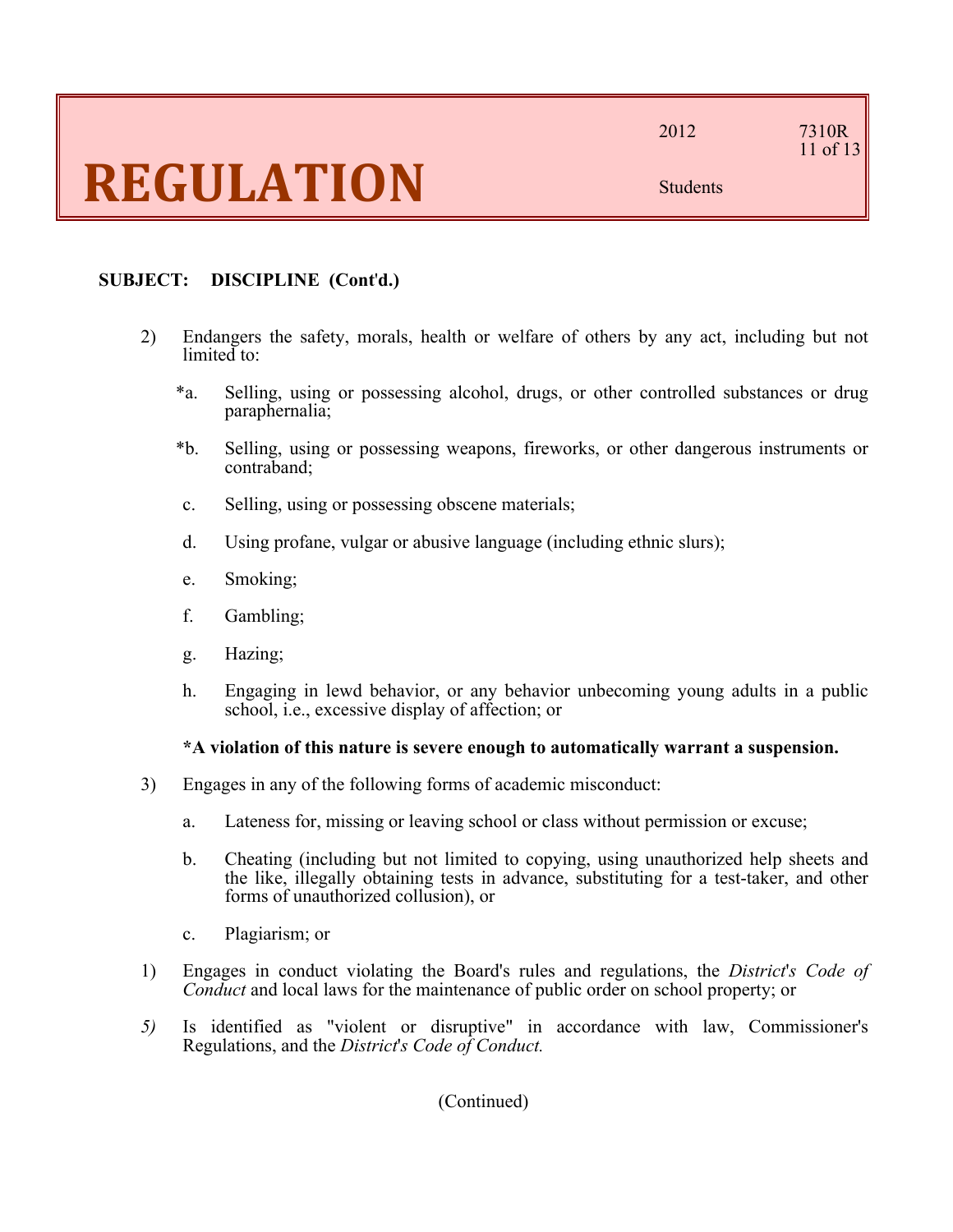### 11 of 13

Students

#### **SUBJECT: DISCIPLINE (Cont**'**d.)**

- 2) Endangers the safety, morals, health or welfare of others by any act, including but not limited to:
	- \*a. Selling, using or possessing alcohol, drugs, or other controlled substances or drug paraphernalia;
	- \*b. Selling, using or possessing weapons, fireworks, or other dangerous instruments or contraband;
	- c. Selling, using or possessing obscene materials;
	- d. Using profane, vulgar or abusive language (including ethnic slurs);
	- e. Smoking;
	- f. Gambling;
	- g. Hazing;
	- h. Engaging in lewd behavior, or any behavior unbecoming young adults in a public school, i.e., excessive display of affection; or

#### **\*A violation of this nature is severe enough to automatically warrant a suspension.**

- 3) Engages in any of the following forms of academic misconduct:
	- a. Lateness for, missing or leaving school or class without permission or excuse;
	- b. Cheating (including but not limited to copying, using unauthorized help sheets and the like, illegally obtaining tests in advance, substituting for a test-taker, and other forms of unauthorized collusion), or
	- c. Plagiarism; or
- 1) Engages in conduct violating the Board's rules and regulations, the *District*'*s Code of Conduct* and local laws for the maintenance of public order on school property; or
- *5)* Is identified as "violent or disruptive" in accordance with law, Commissioner's Regulations, and the *District*'*s Code of Conduct.*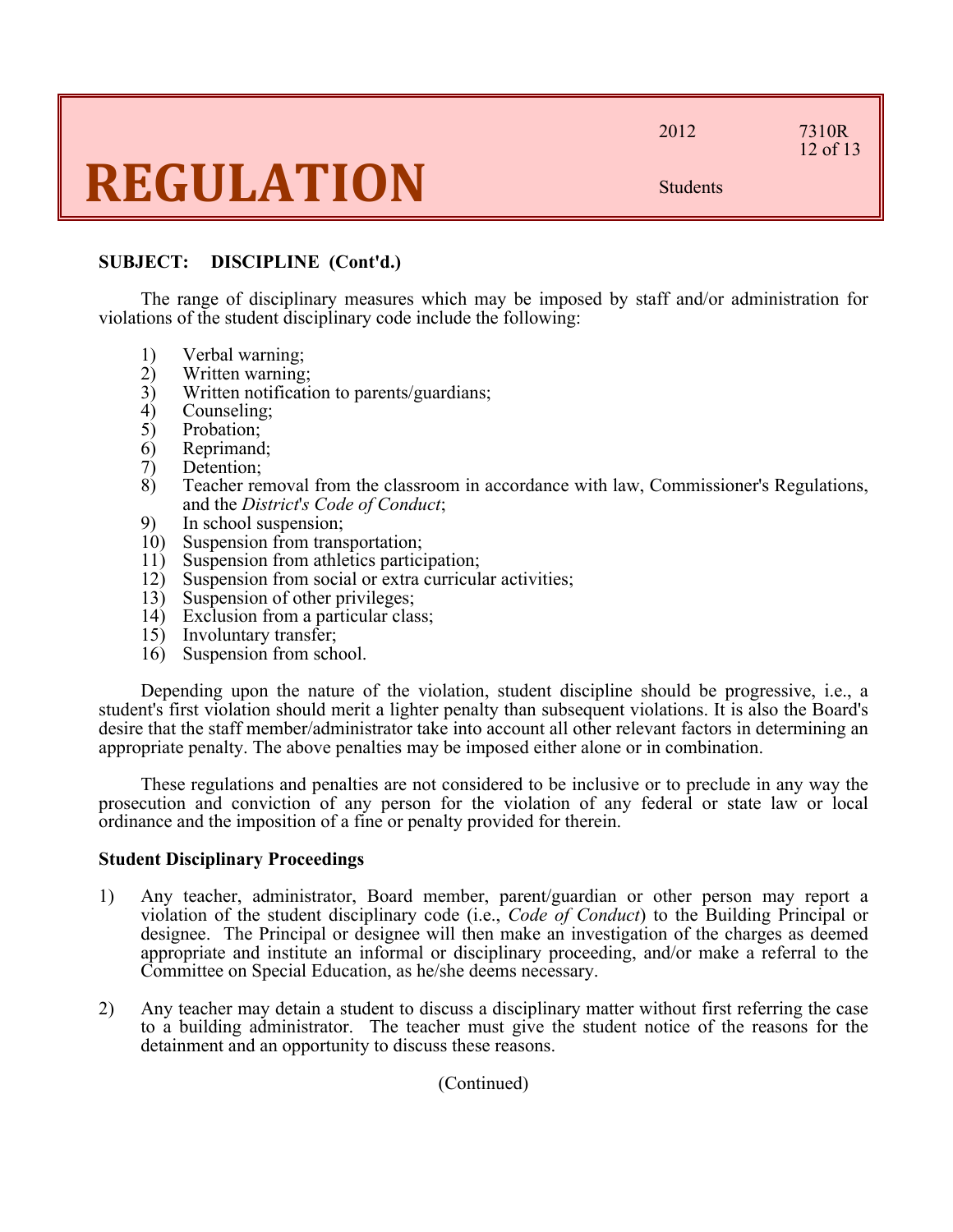2012 7310R

12 of 13

Students

#### **SUBJECT: DISCIPLINE (Cont'd.)**

The range of disciplinary measures which may be imposed by staff and/or administration for violations of the student disciplinary code include the following:

- 1) Verbal warning;
- 2) Written warning;
- 3) Written notification to parents/guardians;
- 4) Counseling;<br>5) Probation;
- Probation;
- 6) Reprimand;
- 7) Detention;
- 8) Teacher removal from the classroom in accordance with law, Commissioner's Regulations, and the *District*'*s Code of Conduct*;
- 9) In school suspension;<br>10) Suspension from trans
- Suspension from transportation;
- 11) Suspension from athletics participation;
- 12) Suspension from social or extra curricular activities;
- 13) Suspension of other privileges;
- 14) Exclusion from a particular class;
- 15) Involuntary transfer;
- 16) Suspension from school.

Depending upon the nature of the violation, student discipline should be progressive, i.e., a student's first violation should merit a lighter penalty than subsequent violations. It is also the Board's desire that the staff member/administrator take into account all other relevant factors in determining an appropriate penalty. The above penalties may be imposed either alone or in combination.

These regulations and penalties are not considered to be inclusive or to preclude in any way the prosecution and conviction of any person for the violation of any federal or state law or local ordinance and the imposition of a fine or penalty provided for therein.

#### **Student Disciplinary Proceedings**

- 1) Any teacher, administrator, Board member, parent/guardian or other person may report a violation of the student disciplinary code (i.e., *Code of Conduct*) to the Building Principal or designee. The Principal or designee will then make an investigation of the charges as deemed appropriate and institute an informal or disciplinary proceeding, and/or make a referral to the Committee on Special Education, as he/she deems necessary.
- 2) Any teacher may detain a student to discuss a disciplinary matter without first referring the case to a building administrator. The teacher must give the student notice of the reasons for the detainment and an opportunity to discuss these reasons.